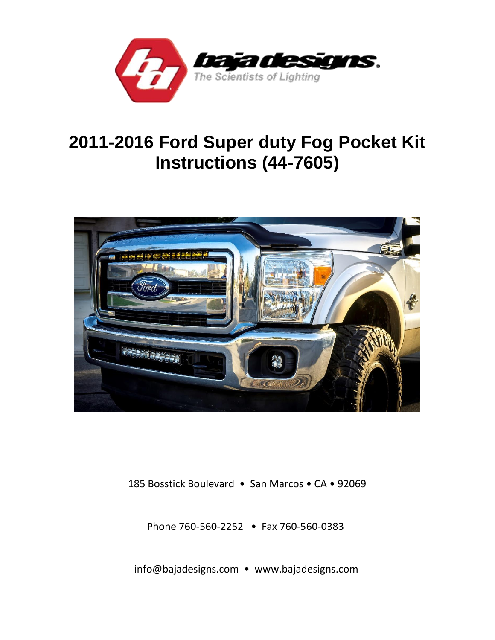

# **2011-2016 Ford Super duty Fog Pocket Kit Instructions (44-7605)**



185 Bosstick Boulevard • San Marcos • CA • 92069

Phone 760-560-2252 • Fax 760-560-0383

info@bajadesigns.com • www.bajadesigns.com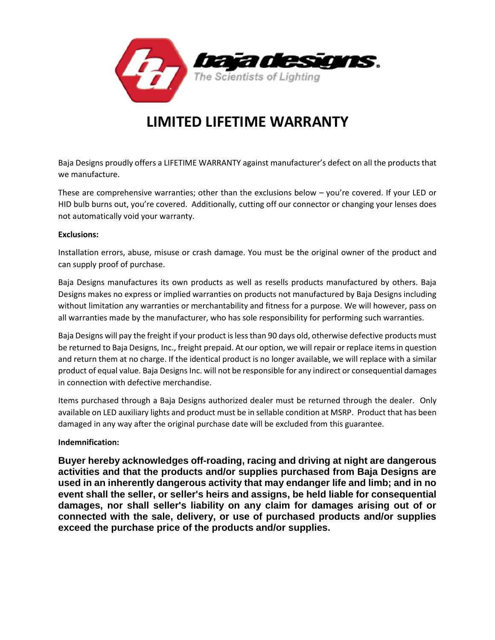

## **LIMITED LIFETIME WARRANTY**

Baja Designs proudly offers a LIFETIME WARRANTY against manufacturer's defect on all the products that we manufacture.

These are comprehensive warranties; other than the exclusions below – you're covered. If your LED or HID bulb burns out, you're covered. Additionally, cutting off our connector or changing your lenses does not automatically void your warranty.

#### **Exclusions:**

Installation errors, abuse, misuse or crash damage. You must be the original owner of the product and can supply proof of purchase.

Baja Designs manufactures its own products as well as resells products manufactured by others. Baja Designs makes no express or implied warranties on products not manufactured by Baja Designs including without limitation any warranties or merchantability and fitness for a purpose. We will however, pass on all warranties made by the manufacturer, who has sole responsibility for performing such warranties.

Baja Designs will pay the freight if your product is less than 90 days old, otherwise defective products must be returned to Baja Designs, Inc., freight prepaid. At our option, we will repair or replace items in question and return them at no charge. If the identical product is no longer available, we will replace with a similar product of equal value. Baja Designs Inc. will not be responsible for any indirect or consequential damages in connection with defective merchandise.

Items purchased through a Baja Designs authorized dealer must be returned through the dealer. Only available on LED auxiliary lights and product must be in sellable condition at MSRP. Product that has been damaged in any way after the original purchase date will be excluded from this guarantee.

#### **Indemnification:**

**Buyer hereby acknowledges off-roading, racing and driving at night are dangerous activities and that the products and/or supplies purchased from Baja Designs are used in an inherently dangerous activity that may endanger life and limb; and in no event shall the seller, or seller's heirs and assigns, be held liable for consequential damages, nor shall seller's liability on any claim for damages arising out of or connected with the sale, delivery, or use of purchased products and/or supplies exceed the purchase price of the products and/or supplies.**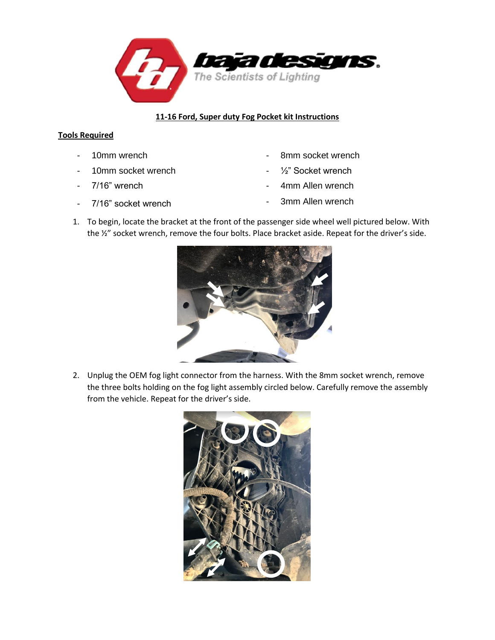

#### **11-16 Ford, Super duty Fog Pocket kit Instructions**

### **Tools Required**

- 
- 10mm socket wrench  $\frac{1}{2}$  Socket wrench
- 
- 
- 10mm wrench  **8mm socket wrench** 
	-
- 7/16" wrench  **100 and 100 and 100 and 100 and 100 and 100 and 100 and 100 and 100 and 100 and 100 and 100 and 100 and 100 and 100 and 100 and 100 and 100 and 100 and 100 and 100 and 100 and 100 and 100 and 100 and 100**
- 7/16" socket wrench  **3mm Allen wrench**
- 1. To begin, locate the bracket at the front of the passenger side wheel well pictured below. With the ½" socket wrench, remove the four bolts. Place bracket aside. Repeat for the driver's side.



2. Unplug the OEM fog light connector from the harness. With the 8mm socket wrench, remove the three bolts holding on the fog light assembly circled below. Carefully remove the assembly from the vehicle. Repeat for the driver's side.

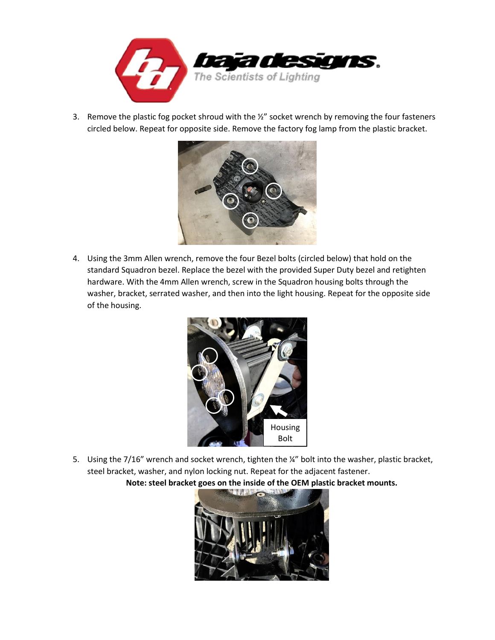

3. Remove the plastic fog pocket shroud with the 1/2" socket wrench by removing the four fasteners circled below. Repeat for opposite side. Remove the factory fog lamp from the plastic bracket.



4. Using the 3mm Allen wrench, remove the four Bezel bolts (circled below) that hold on the standard Squadron bezel. Replace the bezel with the provided Super Duty bezel and retighten hardware. With the 4mm Allen wrench, screw in the Squadron housing bolts through the washer, bracket, serrated washer, and then into the light housing. Repeat for the opposite side of the housing.



5. Using the 7/16" wrench and socket wrench, tighten the ¼" bolt into the washer, plastic bracket, steel bracket, washer, and nylon locking nut. Repeat for the adjacent fastener.

**Note: steel bracket goes on the inside of the OEM plastic bracket mounts.**